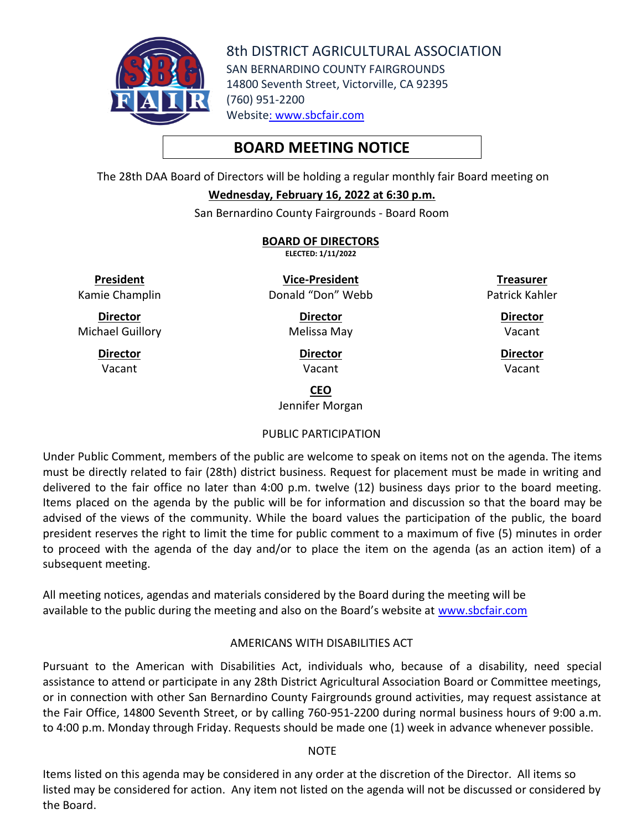

8th DISTRICT AGRICULTURAL ASSOCIATION SAN BERNARDINO COUNTY FAIRGROUNDS 14800 Seventh Street, Victorville, CA 92395 (760) 951-2200 Website: [www.sbcfair.com](http://www.sbcfair.com/)

# **BOARD MEETING NOTICE**

The 28th DAA Board of Directors will be holding a regular monthly fair Board meeting on

#### **Wednesday, February 16, 2022 at 6:30 p.m.**

San Bernardino County Fairgrounds - Board Room

**BOARD OF DIRECTORS ELECTED: 1/11/2022**

**President** Kamie Champlin

**Director** Michael Guillory

> **Director** Vacant

**Vice-President** Donald "Don" Webb

> **Director** Melissa May

> > **Director** Vacant

**Treasurer** Patrick Kahler

> **Director** Vacant

**Director** Vacant

**CEO**

Jennifer Morgan

## PUBLIC PARTICIPATION

Under Public Comment, members of the public are welcome to speak on items not on the agenda. The items must be directly related to fair (28th) district business. Request for placement must be made in writing and delivered to the fair office no later than 4:00 p.m. twelve (12) business days prior to the board meeting. Items placed on the agenda by the public will be for information and discussion so that the board may be advised of the views of the community. While the board values the participation of the public, the board president reserves the right to limit the time for public comment to a maximum of five (5) minutes in order to proceed with the agenda of the day and/or to place the item on the agenda (as an action item) of a subsequent meeting.

All meeting notices, agendas and materials considered by the Board during the meeting will be available to the public during the meeting and also on the Board's website at [www.sbcfair.com](http://www.sbcfair.com/)

## AMERICANS WITH DISABILITIES ACT

Pursuant to the American with Disabilities Act, individuals who, because of a disability, need special assistance to attend or participate in any 28th District Agricultural Association Board or Committee meetings, or in connection with other San Bernardino County Fairgrounds ground activities, may request assistance at the Fair Office, 14800 Seventh Street, or by calling 760-951-2200 during normal business hours of 9:00 a.m. to 4:00 p.m. Monday through Friday. Requests should be made one (1) week in advance whenever possible.

#### **NOTE**

Items listed on this agenda may be considered in any order at the discretion of the Director. All items so listed may be considered for action. Any item not listed on the agenda will not be discussed or considered by the Board.